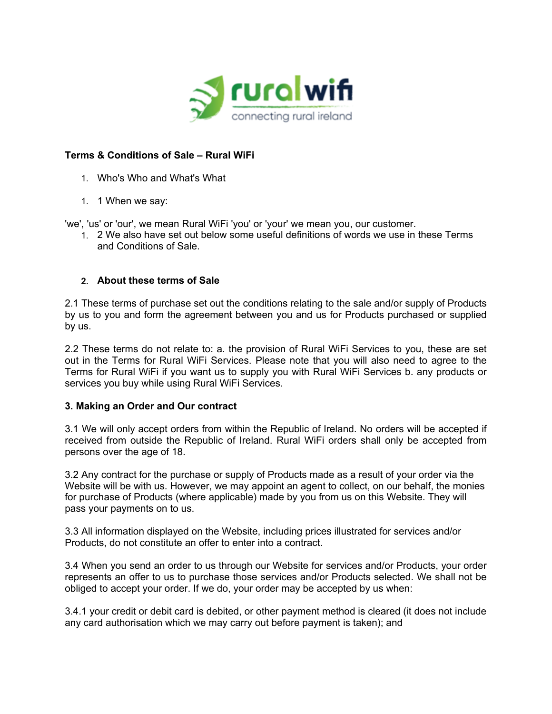

# **Terms & Conditions of Sale – Rural WiFi**

- 1. Who's Who and What's What
- 1. 1 When we say:

'we', 'us' or 'our', we mean Rural WiFi 'you' or 'your' we mean you, our customer.

1. 2 We also have set out below some useful definitions of words we use in these Terms and Conditions of Sale.

### **2. About these terms of Sale**

2.1 These terms of purchase set out the conditions relating to the sale and/or supply of Products by us to you and form the agreement between you and us for Products purchased or supplied by us.

2.2 These terms do not relate to: a. the provision of Rural WiFi Services to you, these are set out in the Terms for Rural WiFi Services. Please note that you will also need to agree to the Terms for Rural WiFi if you want us to supply you with Rural WiFi Services b. any products or services you buy while using Rural WiFi Services.

### **3. Making an Order and Our contract**

3.1 We will only accept orders from within the Republic of Ireland. No orders will be accepted if received from outside the Republic of Ireland. Rural WiFi orders shall only be accepted from persons over the age of 18.

3.2 Any contract for the purchase or supply of Products made as a result of your order via the Website will be with us. However, we may appoint an agent to collect, on our behalf, the monies for purchase of Products (where applicable) made by you from us on this Website. They will pass your payments on to us.

3.3 All information displayed on the Website, including prices illustrated for services and/or Products, do not constitute an offer to enter into a contract.

3.4 When you send an order to us through our Website for services and/or Products, your order represents an offer to us to purchase those services and/or Products selected. We shall not be obliged to accept your order. If we do, your order may be accepted by us when:

3.4.1 your credit or debit card is debited, or other payment method is cleared (it does not include any card authorisation which we may carry out before payment is taken); and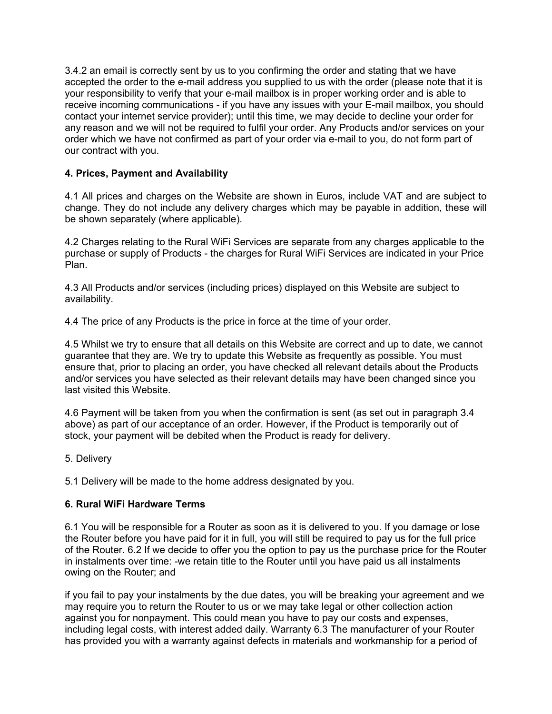3.4.2 an email is correctly sent by us to you confirming the order and stating that we have accepted the order to the e-mail address you supplied to us with the order (please note that it is your responsibility to verify that your e-mail mailbox is in proper working order and is able to receive incoming communications - if you have any issues with your E-mail mailbox, you should contact your internet service provider); until this time, we may decide to decline your order for any reason and we will not be required to fulfil your order. Any Products and/or services on your order which we have not confirmed as part of your order via e-mail to you, do not form part of our contract with you.

# **4. Prices, Payment and Availability**

4.1 All prices and charges on the Website are shown in Euros, include VAT and are subject to change. They do not include any delivery charges which may be payable in addition, these will be shown separately (where applicable).

4.2 Charges relating to the Rural WiFi Services are separate from any charges applicable to the purchase or supply of Products - the charges for Rural WiFi Services are indicated in your Price Plan.

4.3 All Products and/or services (including prices) displayed on this Website are subject to availability.

4.4 The price of any Products is the price in force at the time of your order.

4.5 Whilst we try to ensure that all details on this Website are correct and up to date, we cannot guarantee that they are. We try to update this Website as frequently as possible. You must ensure that, prior to placing an order, you have checked all relevant details about the Products and/or services you have selected as their relevant details may have been changed since you last visited this Website.

4.6 Payment will be taken from you when the confirmation is sent (as set out in paragraph 3.4 above) as part of our acceptance of an order. However, if the Product is temporarily out of stock, your payment will be debited when the Product is ready for delivery.

5. Delivery

5.1 Delivery will be made to the home address designated by you.

# **6. Rural WiFi Hardware Terms**

6.1 You will be responsible for a Router as soon as it is delivered to you. If you damage or lose the Router before you have paid for it in full, you will still be required to pay us for the full price of the Router. 6.2 If we decide to offer you the option to pay us the purchase price for the Router in instalments over time: -we retain title to the Router until you have paid us all instalments owing on the Router; and

if you fail to pay your instalments by the due dates, you will be breaking your agreement and we may require you to return the Router to us or we may take legal or other collection action against you for nonpayment. This could mean you have to pay our costs and expenses, including legal costs, with interest added daily. Warranty 6.3 The manufacturer of your Router has provided you with a warranty against defects in materials and workmanship for a period of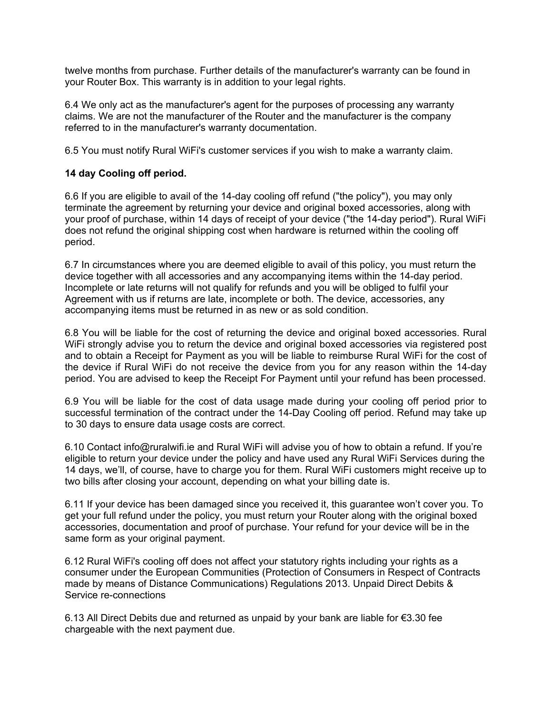twelve months from purchase. Further details of the manufacturer's warranty can be found in your Router Box. This warranty is in addition to your legal rights.

6.4 We only act as the manufacturer's agent for the purposes of processing any warranty claims. We are not the manufacturer of the Router and the manufacturer is the company referred to in the manufacturer's warranty documentation.

6.5 You must notify Rural WiFi's customer services if you wish to make a warranty claim.

# **14 day Cooling off period.**

6.6 If you are eligible to avail of the 14-day cooling off refund ("the policy"), you may only terminate the agreement by returning your device and original boxed accessories, along with your proof of purchase, within 14 days of receipt of your device ("the 14-day period"). Rural WiFi does not refund the original shipping cost when hardware is returned within the cooling off period.

6.7 In circumstances where you are deemed eligible to avail of this policy, you must return the device together with all accessories and any accompanying items within the 14-day period. Incomplete or late returns will not qualify for refunds and you will be obliged to fulfil your Agreement with us if returns are late, incomplete or both. The device, accessories, any accompanying items must be returned in as new or as sold condition.

6.8 You will be liable for the cost of returning the device and original boxed accessories. Rural WiFi strongly advise you to return the device and original boxed accessories via registered post and to obtain a Receipt for Payment as you will be liable to reimburse Rural WiFi for the cost of the device if Rural WiFi do not receive the device from you for any reason within the 14-day period. You are advised to keep the Receipt For Payment until your refund has been processed.

6.9 You will be liable for the cost of data usage made during your cooling off period prior to successful termination of the contract under the 14-Day Cooling off period. Refund may take up to 30 days to ensure data usage costs are correct.

6.10 Contact info@ruralwifi.ie and Rural WiFi will advise you of how to obtain a refund. If you're eligible to return your device under the policy and have used any Rural WiFi Services during the 14 days, we'll, of course, have to charge you for them. Rural WiFi customers might receive up to two bills after closing your account, depending on what your billing date is.

6.11 If your device has been damaged since you received it, this guarantee won't cover you. To get your full refund under the policy, you must return your Router along with the original boxed accessories, documentation and proof of purchase. Your refund for your device will be in the same form as your original payment.

6.12 Rural WiFi's cooling off does not affect your statutory rights including your rights as a consumer under the European Communities (Protection of Consumers in Respect of Contracts made by means of Distance Communications) Regulations 2013. Unpaid Direct Debits & Service re-connections

6.13 All Direct Debits due and returned as unpaid by your bank are liable for €3.30 fee chargeable with the next payment due.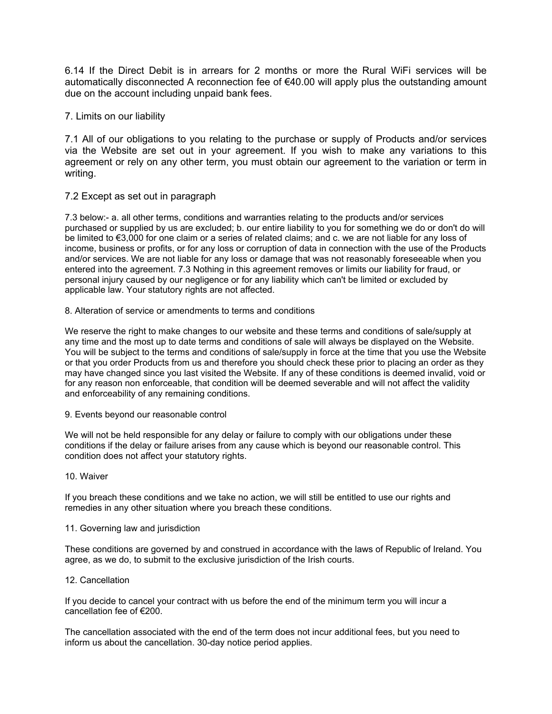6.14 If the Direct Debit is in arrears for 2 months or more the Rural WiFi services will be automatically disconnected A reconnection fee of  $€40.00$  will apply plus the outstanding amount due on the account including unpaid bank fees.

7. Limits on our liability

7.1 All of our obligations to you relating to the purchase or supply of Products and/or services via the Website are set out in your agreement. If you wish to make any variations to this agreement or rely on any other term, you must obtain our agreement to the variation or term in writing.

### 7.2 Except as set out in paragraph

7.3 below:- a. all other terms, conditions and warranties relating to the products and/or services purchased or supplied by us are excluded; b. our entire liability to you for something we do or don't do will be limited to €3,000 for one claim or a series of related claims; and c. we are not liable for any loss of income, business or profits, or for any loss or corruption of data in connection with the use of the Products and/or services. We are not liable for any loss or damage that was not reasonably foreseeable when you entered into the agreement. 7.3 Nothing in this agreement removes or limits our liability for fraud, or personal injury caused by our negligence or for any liability which can't be limited or excluded by applicable law. Your statutory rights are not affected.

8. Alteration of service or amendments to terms and conditions

We reserve the right to make changes to our website and these terms and conditions of sale/supply at any time and the most up to date terms and conditions of sale will always be displayed on the Website. You will be subject to the terms and conditions of sale/supply in force at the time that you use the Website or that you order Products from us and therefore you should check these prior to placing an order as they may have changed since you last visited the Website. If any of these conditions is deemed invalid, void or for any reason non enforceable, that condition will be deemed severable and will not affect the validity and enforceability of any remaining conditions.

9. Events beyond our reasonable control

We will not be held responsible for any delay or failure to comply with our obligations under these conditions if the delay or failure arises from any cause which is beyond our reasonable control. This condition does not affect your statutory rights.

### 10. Waiver

If you breach these conditions and we take no action, we will still be entitled to use our rights and remedies in any other situation where you breach these conditions.

### 11. Governing law and jurisdiction

These conditions are governed by and construed in accordance with the laws of Republic of Ireland. You agree, as we do, to submit to the exclusive jurisdiction of the Irish courts.

### 12. Cancellation

If you decide to cancel your contract with us before the end of the minimum term you will incur a cancellation fee of €200.

The cancellation associated with the end of the term does not incur additional fees, but you need to inform us about the cancellation. 30-day notice period applies.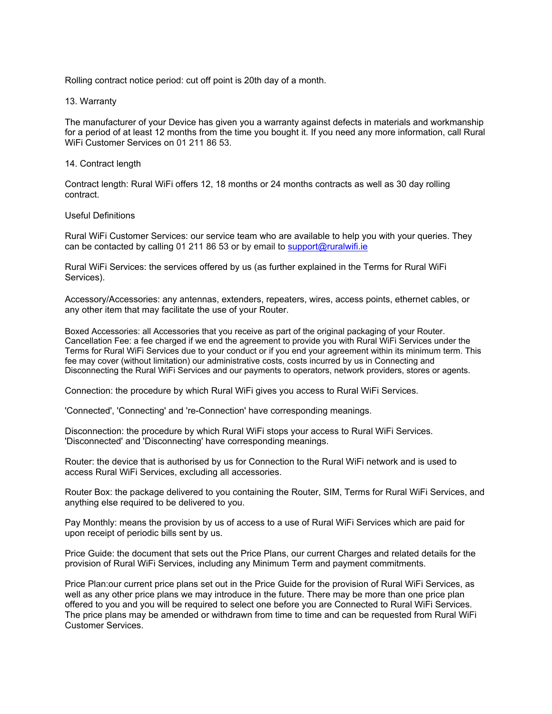Rolling contract notice period: cut off point is 20th day of a month.

#### 13. Warranty

The manufacturer of your Device has given you a warranty against defects in materials and workmanship for a period of at least 12 months from the time you bought it. If you need any more information, call Rural WiFi Customer Services on 01 211 86 53.

#### 14. Contract length

Contract length: Rural WiFi offers 12, 18 months or 24 months contracts as well as 30 day rolling contract.

#### Useful Definitions

Rural WiFi Customer Services: our service team who are available to help you with your queries. They can be contacted by calling 01 211 86 53 or by email to support@ruralwifi.ie

Rural WiFi Services: the services offered by us (as further explained in the Terms for Rural WiFi Services).

Accessory/Accessories: any antennas, extenders, repeaters, wires, access points, ethernet cables, or any other item that may facilitate the use of your Router.

Boxed Accessories: all Accessories that you receive as part of the original packaging of your Router. Cancellation Fee: a fee charged if we end the agreement to provide you with Rural WiFi Services under the Terms for Rural WiFi Services due to your conduct or if you end your agreement within its minimum term. This fee may cover (without limitation) our administrative costs, costs incurred by us in Connecting and Disconnecting the Rural WiFi Services and our payments to operators, network providers, stores or agents.

Connection: the procedure by which Rural WiFi gives you access to Rural WiFi Services.

'Connected', 'Connecting' and 're-Connection' have corresponding meanings.

Disconnection: the procedure by which Rural WiFi stops your access to Rural WiFi Services. 'Disconnected' and 'Disconnecting' have corresponding meanings.

Router: the device that is authorised by us for Connection to the Rural WiFi network and is used to access Rural WiFi Services, excluding all accessories.

Router Box: the package delivered to you containing the Router, SIM, Terms for Rural WiFi Services, and anything else required to be delivered to you.

Pay Monthly: means the provision by us of access to a use of Rural WiFi Services which are paid for upon receipt of periodic bills sent by us.

Price Guide: the document that sets out the Price Plans, our current Charges and related details for the provision of Rural WiFi Services, including any Minimum Term and payment commitments.

Price Plan:our current price plans set out in the Price Guide for the provision of Rural WiFi Services, as well as any other price plans we may introduce in the future. There may be more than one price plan offered to you and you will be required to select one before you are Connected to Rural WiFi Services. The price plans may be amended or withdrawn from time to time and can be requested from Rural WiFi Customer Services.